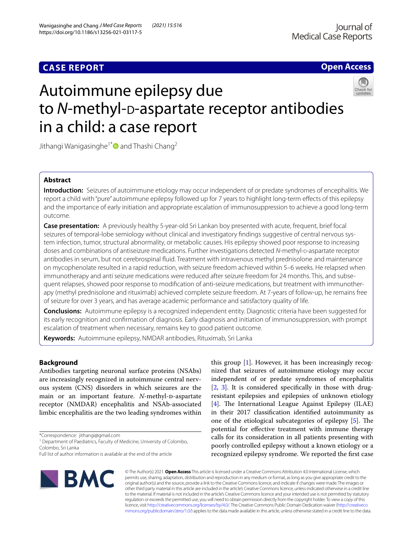# **CASE REPORT**

# **Open Access**



# Autoimmune epilepsy due to *N*-methyl-<sub>D</sub>-aspartate receptor antibodies in a child: a case report

Jithangi Wanigasinghe<sup>1[\\*](http://orcid.org/0000-0002-9413-8363)</sup> and Thashi Chang<sup>2</sup>

# **Abstract**

**Introduction:** Seizures of autoimmune etiology may occur independent of or predate syndromes of encephalitis. We report a child with "pure" autoimmune epilepsy followed up for 7 years to highlight long-term efects of this epilepsy and the importance of early initiation and appropriate escalation of immunosuppression to achieve a good long-term outcome.

**Case presentation:** A previously healthy 5-year-old Sri Lankan boy presented with acute, frequent, brief focal seizures of temporal-lobe semiology without clinical and investigatory fndings suggestive of central nervous system infection, tumor, structural abnormality, or metabolic causes. His epilepsy showed poor response to increasing doses and combinations of antiseizure medications. Further investigations detected *N*-methyl-D-aspartate receptor antibodies in serum, but not cerebrospinal fuid. Treatment with intravenous methyl prednisolone and maintenance on mycophenolate resulted in a rapid reduction, with seizure freedom achieved within 5–6 weeks. He relapsed when immunotherapy and anti seizure medications were reduced after seizure freedom for 24 months. This, and subsequent relapses, showed poor response to modifcation of anti-seizure medications, but treatment with immunotherapy (methyl prednisolone and rituximab) achieved complete seizure freedom. At 7-years of follow-up, he remains free of seizure for over 3 years, and has average academic performance and satisfactory quality of life.

**Conclusions:** Autoimmune epilepsy is a recognized independent entity. Diagnostic criteria have been suggested for its early recognition and confrmation of diagnosis. Early diagnosis and initiation of immunosuppression, with prompt escalation of treatment when necessary, remains key to good patient outcome.

**Keywords:** Autoimmune epilepsy, NMDAR antibodies, Rituximab, Sri Lanka

# **Background**

Antibodies targeting neuronal surface proteins (NSAbs) are increasingly recognized in autoimmune central nervous system (CNS) disorders in which seizures are the main or an important feature. *N*-methyl-D-aspartate receptor (NMDAR) encephalitis and NSAb-associated limbic encephalitis are the two leading syndromes within

\*Correspondence: jithangi@gmail.com

<sup>1</sup> Department of Paediatrics, Faculty of Medicine, University of Colombo, Colombo, Sri Lanka

this group [\[1](#page-4-0)]. However, it has been increasingly recognized that seizures of autoimmune etiology may occur independent of or predate syndromes of encephalitis [[2,](#page-4-1) [3](#page-4-2)]. It is considered specifcally in those with drugresistant epilepsies and epilepsies of unknown etiology [[4\]](#page-4-3). The International League Against Epilepsy (ILAE) in their 2017 classifcation identifed autoimmunity as one of the etiological subcategories of epilepsy  $[5]$  $[5]$ . The potential for efective treatment with immune therapy calls for its consideration in all patients presenting with poorly controlled epilepsy without a known etiology or a recognized epilepsy syndrome. We reported the frst case



© The Author(s) 2021. **Open Access** This article is licensed under a Creative Commons Attribution 4.0 International License, which permits use, sharing, adaptation, distribution and reproduction in any medium or format, as long as you give appropriate credit to the original author(s) and the source, provide a link to the Creative Commons licence, and indicate if changes were made. The images or other third party material in this article are included in the article's Creative Commons licence, unless indicated otherwise in a credit line to the material. If material is not included in the article's Creative Commons licence and your intended use is not permitted by statutory regulation or exceeds the permitted use, you will need to obtain permission directly from the copyright holder. To view a copy of this licence, visit [http://creativecommons.org/licenses/by/4.0/.](http://creativecommons.org/licenses/by/4.0/) The Creative Commons Public Domain Dedication waiver ([http://creativeco](http://creativecommons.org/publicdomain/zero/1.0/) [mmons.org/publicdomain/zero/1.0/](http://creativecommons.org/publicdomain/zero/1.0/)) applies to the data made available in this article, unless otherwise stated in a credit line to the data.

Full list of author information is available at the end of the article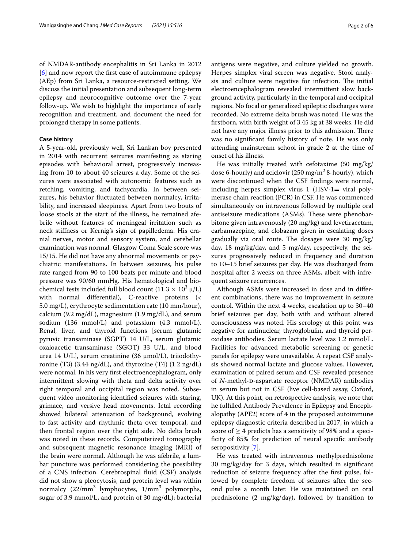of NMDAR-antibody encephalitis in Sri Lanka in 2012 [[6\]](#page-4-5) and now report the frst case of autoimmune epilepsy (AEp) from Sri Lanka, a resource-restricted setting. We discuss the initial presentation and subsequent long-term epilepsy and neurocognitive outcome over the 7-year follow-up. We wish to highlight the importance of early recognition and treatment, and document the need for prolonged therapy in some patients.

## **Case history**

A 5-year-old, previously well, Sri Lankan boy presented in 2014 with recurrent seizures manifesting as staring episodes with behavioral arrest, progressively increasing from 10 to about 40 seizures a day. Some of the seizures were associated with autonomic features such as retching, vomiting, and tachycardia. In between seizures, his behavior fuctuated between normalcy, irritability, and increased sleepiness. Apart from two bouts of loose stools at the start of the illness, he remained afebrile without features of meningeal irritation such as neck stifness or Kernig's sign of papilledema. His cranial nerves, motor and sensory system, and cerebellar examination was normal. Glasgow Coma Scale score was 15/15. He did not have any abnormal movements or psychiatric manifestations. In between seizures, his pulse rate ranged from 90 to 100 beats per minute and blood pressure was 90/60 mmHg. His hematological and biochemical tests included full blood count  $(11.3 \times 10^3 \,\mu/L)$ with normal diferential), C-reactive proteins (< 5.0 mg/L), erythrocyte sedimentation rate (10 mm/hour), calcium (9.2 mg/dL), magnesium (1.9 mg/dL), and serum sodium (136 mmol/L) and potassium (4.3 mmol/L). Renal, liver, and thyroid functions [serum glutamic pyruvic transaminase (SGPT) 14 U/L, serum glutamic oxaloacetic transaminase (SGOT) 33 U/L, and blood urea 14 U/L], serum creatinine (36 μmol/L), triiodothyronine (T3) (3.44 ng/dL), and thyroxine (T4) (1.2 ng/dL) were normal. In his very frst electroencephalogram, only intermittent slowing with theta and delta activity over right temporal and occipital region was noted. Subsequent video monitoring identifed seizures with staring, grimace, and versive head movements. Ictal recording showed bilateral attenuation of background, evolving to fast activity and rhythmic theta over temporal, and then frontal region over the right side. No delta brush was noted in these records. Computerized tomography and subsequent magnetic resonance imaging (MRI) of the brain were normal. Although he was afebrile, a lumbar puncture was performed considering the possibility of a CNS infection. Cerebrospinal fuid (CSF) analysis did not show a pleocytosis, and protein level was within normalcy (22/mm<sup>3</sup> lymphocytes, 1/mm<sup>3</sup> polymorphs, sugar of 3.9 mmol/L, and protein of 30 mg/dL); bacterial

antigens were negative, and culture yielded no growth. Herpes simplex viral screen was negative. Stool analysis and culture were negative for infection. The initial electroencephalogram revealed intermittent slow background activity, particularly in the temporal and occipital regions. No focal or generalized epileptic discharges were recorded. No extreme delta brush was noted. He was the frstborn, with birth weight of 3.45 kg at 38 weeks. He did not have any major illness prior to this admission. There was no signifcant family history of note. He was only attending mainstream school in grade 2 at the time of onset of his illness.

He was initially treated with cefotaxime (50 mg/kg/ dose 6-hourly) and aciclovir  $(250 \text{ mg/m}^2 \text{ 8-hourly})$ , which were discontinued when the CSF fndings were normal, including herpes simplex virus  $1$  (HSV-1= viral polymerase chain reaction (PCR) in CSF. He was commenced simultaneously on intravenous followed by multiple oral antiseizure medications (ASMs). These were phenobarbitone given intravenously (20 mg/kg) and levetiracetam, carbamazepine, and clobazam given in escalating doses gradually via oral route. The dosages were 30  $mg/kg/$ day, 18 mg/kg/day, and 5 mg/day, respectively, the seizures progressively reduced in frequency and duration to 10–15 brief seizures per day. He was discharged from hospital after 2 weeks on three ASMs, albeit with infrequent seizure recurrences.

Although ASMs were increased in dose and in diferent combinations, there was no improvement in seizure control. Within the next 4 weeks, escalation up to 30–40 brief seizures per day, both with and without altered consciousness was noted. His serology at this point was negative for antinuclear, thyroglobulin, and thyroid peroxidase antibodies. Serum lactate level was 1.2 mmol/L. Facilities for advanced metabolic screening or genetic panels for epilepsy were unavailable. A repeat CSF analysis showed normal lactate and glucose values. However, examination of paired serum and CSF revealed presence of *N*-methyl-D-aspartate receptor (NMDAR) antibodies in serum but not in CSF (live cell-based assay, Oxford, UK). At this point, on retrospective analysis, we note that he fulflled Antibody Prevalence in Epilepsy and Encephalopathy (APE2) score of 4 in the proposed autoimmune epilepsy diagnostic criteria described in 2017, in which a score of  $\geq$  4 predicts has a sensitivity of 98% and a specificity of 85% for prediction of neural specific antibody seropositivity [\[7](#page-4-6)].

He was treated with intravenous methylprednisolone 30 mg/kg/day for 3 days, which resulted in signifcant reduction of seizure frequency after the frst pulse, followed by complete freedom of seizures after the second pulse a month later. He was maintained on oral prednisolone (2 mg/kg/day), followed by transition to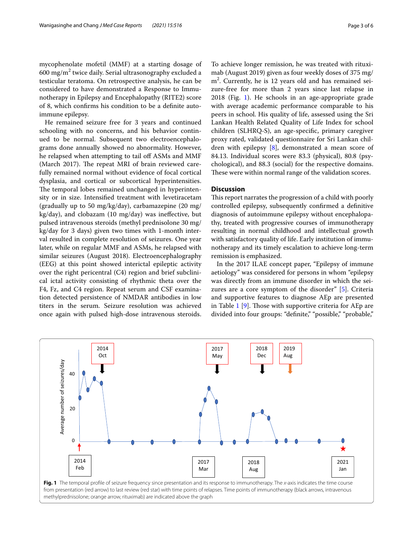mycophenolate mofetil (MMF) at a starting dosage of 600 mg/m $^2$  twice daily. Serial ultrasonography excluded a testicular teratoma. On retrospective analysis, he can be considered to have demonstrated a Response to Immunotherapy in Epilepsy and Encephalopathy (RITE2) score of 8, which confrms his condition to be a defnite autoimmune epilepsy.

He remained seizure free for 3 years and continued schooling with no concerns, and his behavior continued to be normal. Subsequent two electroencephalograms done annually showed no abnormality. However, he relapsed when attempting to tail off ASMs and MMF (March 2017). The repeat MRI of brain reviewed carefully remained normal without evidence of focal cortical dysplasia, and cortical or subcortical hyperintensities. The temporal lobes remained unchanged in hyperintensity or in size. Intensifed treatment with levetiracetam (gradually up to 50 mg/kg/day), carbamazepine (20 mg/ kg/day), and clobazam (10 mg/day) was inefective, but pulsed intravenous steroids (methyl prednisolone 30 mg/ kg/day for 3 days) given two times with 1-month interval resulted in complete resolution of seizures. One year later, while on regular MMF and ASMs, he relapsed with similar seizures (August 2018). Electroencephalography (EEG) at this point showed interictal epileptic activity over the right pericentral (C4) region and brief subclinical ictal activity consisting of rhythmic theta over the F4, Fz, and C4 region. Repeat serum and CSF examination detected persistence of NMDAR antibodies in low titers in the serum. Seizure resolution was achieved once again with pulsed high-dose intravenous steroids.

To achieve longer remission, he was treated with rituximab (August 2019) given as four weekly doses of 375 mg/ m<sup>2</sup>. Currently, he is 12 years old and has remained seizure-free for more than 2 years since last relapse in 2018 (Fig. [1\)](#page-2-0). He schools in an age-appropriate grade with average academic performance comparable to his peers in school. His quality of life, assessed using the Sri Lankan Health Related Quality of Life Index for school children (SLHRQ-S), an age-specifc, primary caregiver proxy rated, validated questionnaire for Sri Lankan children with epilepsy  $[8]$  $[8]$ , demonstrated a mean score of 84.13. Individual scores were 83.3 (physical), 80.8 (psychological), and 88.3 (social) for the respective domains. These were within normal range of the validation scores.

## **Discussion**

This report narrates the progression of a child with poorly controlled epilepsy, subsequently confrmed a defnitive diagnosis of autoimmune epilepsy without encephalopathy, treated with progressive courses of immunotherapy resulting in normal childhood and intellectual growth with satisfactory quality of life. Early institution of immunotherapy and its timely escalation to achieve long-term remission is emphasized.

In the 2017 ILAE concept paper, "Epilepsy of immune aetiology" was considered for persons in whom "epilepsy was directly from an immune disorder in which the seizures are a core symptom of the disorder" [[5\]](#page-4-4). Criteria and supportive features to diagnose AEp are presented in Table  $1$  [\[9](#page-4-8)]. Those with supportive criteria for AEp are divided into four groups: "definite," "possible," "probable,"

<span id="page-2-0"></span>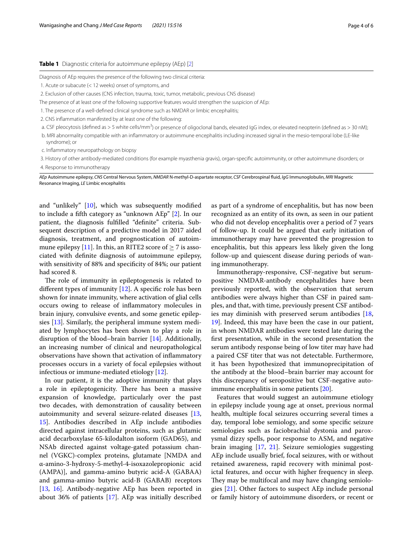#### <span id="page-3-0"></span>**Table 1** Diagnostic criteria for autoimmune epilepsy (AEp) [\[2\]](#page-4-1)

Diagnosis of AEp requires the presence of the following two clinical criteria:

- 1. Acute or subacute (< 12 weeks) onset of symptoms, and
- 2. Exclusion of other causes (CNS infection, trauma, toxic, tumor, metabolic, previous CNS disease)
- The presence of at least one of the following supportive features would strengthen the suspicion of AEp:
- 1. The presence of a well-defned clinical syndrome such as NMDAR or limbic encephalitis;
- 2. CNS infammation manifested by at least one of the following:
- a. CSF pleocytosis (defined as > 5 white cells/mm<sup>3</sup>) or presence of oligoclonal bands, elevated IgG index, or elevated neopterin (defined as > 30 nM),
- b. MRI abnormality compatible with an infammatory or autoimmune encephalitis including increased signal in the mesio-temporal lobe (LE-like syndrome); or
- c. Infammatory neuropathology on biopsy

3. History of other antibody-mediated conditions (for example myasthenia gravis), organ-specifc autoimmunity, or other autoimmune disorders; or 4. Response to immunotherapy

*AEp* Autoimmune epilepsy, *CNS* Central Nervous System, *NMDAR* N-methyl-D-aspartate receptor, *CSF* Cerebrospinal fuid, *IgG* Immunoglobulin, *MRI* Magnetic Resonance Imaging, *LE* Limbic encephalitis

and "unlikely" [[10\]](#page-4-9), which was subsequently modifed to include a ffth category as "unknown AEp" [\[2](#page-4-1)]. In our patient, the diagnosis fulflled "defnite" criteria. Subsequent description of a predictive model in 2017 aided diagnosis, treatment, and prognostication of autoim-mune epilepsy [[11\]](#page-4-10). In this, an RITE2 score of  $\geq$  7 is associated with defnite diagnosis of autoimmune epilepsy, with sensitivity of 88% and specifcity of 84%; our patient had scored 8.

The role of immunity in epileptogenesis is related to different types of immunity  $[12]$ . A specific role has been shown for innate immunity, where activation of glial cells occurs owing to release of infammatory molecules in brain injury, convulsive events, and some genetic epilepsies [[13](#page-4-12)]. Similarly, the peripheral immune system mediated by lymphocytes has been shown to play a role in disruption of the blood–brain barrier [[14](#page-4-13)]. Additionally, an increasing number of clinical and neuropathological observations have shown that activation of infammatory processes occurs in a variety of focal epilepsies without infectious or immune-mediated etiology [[12\]](#page-4-11).

In our patient, it is the adoptive immunity that plays a role in epileptogenicity. There has been a massive expansion of knowledge, particularly over the past two decades, with demonstration of causality between autoimmunity and several seizure-related diseases [\[13](#page-4-12), [15\]](#page-4-14). Antibodies described in AEp include antibodies directed against intracellular proteins, such as glutamic acid decarboxylase 65-kilodalton isoform (GAD65), and NSAb directed against voltage-gated potassium channel (VGKC)-complex proteins, glutamate [NMDA and α-amino-3-hydroxy-5-methyl-4-isoxazolepropionic acid (AMPA)], and gamma-amino butyric acid-A (GABAA) and gamma-amino butyric acid-B (GABAB) receptors [[13,](#page-4-12) [16](#page-4-15)]. Antibody-negative AEp has been reported in about 36% of patients [\[17](#page-4-16)]. AEp was initially described as part of a syndrome of encephalitis, but has now been recognized as an entity of its own, as seen in our patient who did not develop encephalitis over a period of 7 years of follow-up. It could be argued that early initiation of immunotherapy may have prevented the progression to encephalitis, but this appears less likely given the long follow-up and quiescent disease during periods of waning immunotherapy.

Immunotherapy-responsive, CSF-negative but serumpositive NMDAR-antibody encephalitides have been previously reported, with the observation that serum antibodies were always higher than CSF in paired samples, and that, with time, previously present CSF antibodies may diminish with preserved serum antibodies [[18](#page-4-17), [19\]](#page-4-18). Indeed, this may have been the case in our patient, in whom NMDAR antibodies were tested late during the frst presentation, while in the second presentation the serum antibody response being of low titer may have had a paired CSF titer that was not detectable. Furthermore, it has been hypothesized that immunoprecipitation of the antibody at the blood–brain barrier may account for this discrepancy of seropositive but CSF-negative autoimmune encephalitis in some patients [[20\]](#page-4-19).

Features that would suggest an autoimmune etiology in epilepsy include young age at onset, previous normal health, multiple focal seizures occurring several times a day, temporal lobe semiology, and some specifc seizure semiologies such as faciobrachial dystonia and paroxysmal dizzy spells, poor response to ASM, and negative brain imaging [[17](#page-4-16), [21](#page-5-0)]. Seizure semiologies suggesting AEp include usually brief, focal seizures, with or without retained awareness, rapid recovery with minimal postictal features, and occur with higher frequency in sleep. They may be multifocal and may have changing semiologies [[21\]](#page-5-0). Other factors to suspect AEp include personal or family history of autoimmune disorders, or recent or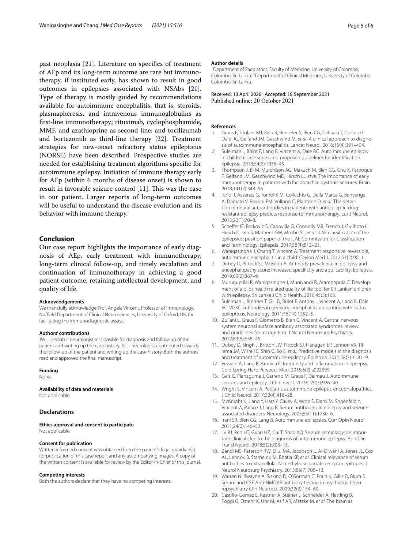past neoplasia [[21\]](#page-5-0). Literature on specifics of treatment of AEp and its long-term outcome are rare but immunotherapy, if instituted early, has shown to result in good outcomes in epilepsies associated with NSAbs [\[21](#page-5-0)]. Type of therapy is mostly guided by recommendations available for autoimmune encephalitis, that is, steroids, plasmapheresis, and intravenous immunoglobulins as frst-line immunotherapy; rituximab, cyclophosphamide, MMF, and azathioprine as second line; and tocilizumab and bortezomib as third-line therapy [[22\]](#page-5-1). Treatment strategies for new-onset refractory status epilepticus (NORSE) have been described. Prospective studies are needed for establishing treatment algorithms specifc for autoimmune epilepsy. Initiation of immune therapy early for AEp (within 6 months of disease onset) is shown to result in favorable seizure control  $[11]$  $[11]$ . This was the case in our patient. Larger reports of long-term outcomes will be useful to understand the disease evolution and its behavior with immune therapy.

### **Conclusion**

Our case report highlights the importance of early diagnosis of AEp, early treatment with immunotherapy, long-term clinical follow-up, and timely escalation and continuation of immunotherapy in achieving a good patient outcome, retaining intellectual development, and quality of life.

#### **Acknowledgements**

We thankfully acknowledge Prof. Angela Vincent, Professor of Immunology, Nuffield Department of Clinical Neurosciences, University of Oxford, UK, for facilitating the immunodiagnostic assays.

#### **Authors' contributions**

JW—pediatric neurologist responsible for diagnosis and follow-up of the patient and writing up the case history. TC—neurologist contributed towards the follow-up of the patient and writing up the case history. Both the authors read and approved the fnal manuscript.

#### **Funding**

None.

#### **Availability of data and materials** Not applicable.

# **Declarations**

**Ethics approval and consent to participate** Not applicable.

#### **Consent for publication**

Written informed consent was obtained from the patient's legal guardian(s) for publication of this case report and any accompanying images. A copy of the written consent is available for review by the Editor-in-Chief of this journal.

#### **Competing interests**

Both the authors declare that they have no competing interests.

#### **Author details**

<sup>1</sup> Department of Paediatrics, Faculty of Medicine, University of Colombo, Colombo, Sri Lanka. <sup>2</sup> Department of Clinical Medicine, University of Colombo, Colombo, Sri Lanka.

Received: 13 April 2020 Accepted: 18 September 2021 Published online: 20 October 2021

#### **References**

- <span id="page-4-0"></span>1. Graus F, Titulaer MJ, Balu R, Benseler S, Bien CG, Cellucci T, Cortese I, Dale RC, Gelfand JM, Geschwind M, *et al*. A clinical approach to diagnosis of autoimmune encephalitis. Lancet Neurol. 2016;15(4):391–404.
- <span id="page-4-1"></span>2. Suleiman J, Brilot F, Lang B, Vincent A, Dale RC. Autoimmune epilepsy in children: case series and proposed guidelines for identifcation. Epilepsia. 2013;54(6):1036–45.
- <span id="page-4-2"></span>3. Thompson J, Bi M, Murchison AG, Makuch M, Bien CG, Chu K, Farooque P, Gelfand JM, Geschwind MD, Hirsch LJ, *et al*. The importance of early immunotherapy in patients with faciobrachial dystonic seizures. Brain. 2018;141(2):348–56.
- <span id="page-4-3"></span>4. Iorio R, Assenza G, Tombini M, Colicchio G, Della Marca G, Benvenga A, Damato V, Rossini PM, Vollono C, Plantone D, *et al*. The detection of neural autoantibodies in patients with antiepileptic-drugresistant epilepsy predicts response to immunotherapy. Eur J Neurol. 2015;22(1):70–8.
- <span id="page-4-4"></span>5. Scheffer IE, Berkovic S, Capovilla G, Connolly MB, French J, Guilhoto L, Hirsch E, Jain S, Mathern GW, Moshe SL, *et al*. ILAE classifcation of the epilepsies: position paper of the ILAE Commission for Classifcation and Terminology. Epilepsia. 2017;58(4):512–21.
- <span id="page-4-5"></span>6. Wanigasinghe J, Chang T, Vincent A. Treatment-responsive, reversible, autoimmune encephalitis in a child. Ceylon Med J. 2012;57(2):90–1.
- <span id="page-4-6"></span>7. Dubey D, Pittock SJ, McKeon A. Antibody prevalence in epilepsy and encephalopathy score: increased specifcity and applicability. Epilepsia. 2019;60(2):367–9.
- <span id="page-4-7"></span>8. Murugupillai R, Wanigasinghe J, Muniyandi R, Arambepola C. Development of a pilot health related quality of life tool for Sri Lankan children with epilepsy. Sri Lanka J Child Health. 2016;45(3):163.
- <span id="page-4-8"></span>9. Suleiman J, Brenner T, Gill D, Brilot F, Antony J, Vincent A, Lang B, Dale RC. VGKC antibodies in pediatric encephalitis presenting with status epilepticus. Neurology. 2011;76(14):1252–5.
- <span id="page-4-9"></span>10. Zuliani L, Graus F, Giometto B, Bien C, Vincent A. Central nervous system neuronal surface antibody associated syndromes: review and guidelines for recognition. J Neurol Neurosurg Psychiatry. 2012;83(6):638–45.
- <span id="page-4-10"></span>11. Dubey D, Singh J, Britton JW, Pittock SJ, Flanagan EP, Lennon VA, Tillema JM, Wirrell E, Shin C, So E, *et al*. Predictive models in the diagnosis and treatment of autoimmune epilepsy. Epilepsia. 2017;58(7):1181–9.
- <span id="page-4-11"></span>12. Vezzani A, Lang B, Aronica E. Immunity and infammation in epilepsy. Cold Spring Harb Perspect Med. 2015;6(2):a022699.
- <span id="page-4-12"></span>13. Geis C, Planaguma J, Carreno M, Graus F, Dalmau J. Autoimmune seizures and epilepsy. J Clin Invest. 2019;129(3):926–40.
- <span id="page-4-13"></span>14. Wright S, Vincent A. Pediatric autoimmune epileptic encephalopathies. J Child Neurol. 2017;32(4):418–28.
- <span id="page-4-14"></span>15. McKnight K, Jiang Y, Hart Y, Cavey A, Wroe S, Blank M, Shoenfeld Y, Vincent A, Palace J, Lang B. Serum antibodies in epilepsy and seizureassociated disorders. Neurology. 2005;65(11):1730–6.
- <span id="page-4-15"></span>16. Irani SR, Bien CG, Lang B. Autoimmune epilepsies. Curr Opin Neurol. 2011;24(2):146–53.
- <span id="page-4-16"></span>17. Lv RJ, Ren HT, Guan HZ, Cui T, Shao XQ. Seizure semiology: an important clinical clue to the diagnosis of autoimmune epilepsy. Ann Clin Transl Neurol. 2018;5(2):208–15.
- <span id="page-4-17"></span>18. Zandi MS, Paterson RW, Ellul MA, Jacobson L, Al-Diwani A, Jones JL, Cox AL, Lennox B, Stamelou M, Bhatia KP, *et al*. Clinical relevance of serum antibodies to extracellular N-methyl-D-aspartate receptor epitopes. J Neurol Neurosurg Psychiatry. 2015;86(7):708–13.
- <span id="page-4-18"></span>19. Warren N, Swayne A, Siskind D, O'Gorman C, Prain K, Gillis D, Blum S. Serum and CSF Anti-NMDAR antibody testing in psychiatry. J Neuropsychiatry Clin Neurosci. 2020;32(2):154–60.
- <span id="page-4-19"></span>20. Castillo-Gomez E, Kastner A, Steiner J, Schneider A, Hettling B, Poggi G, Ostehr K, Uhr M, Asif AR, Matzke M, *et al*. The brain as